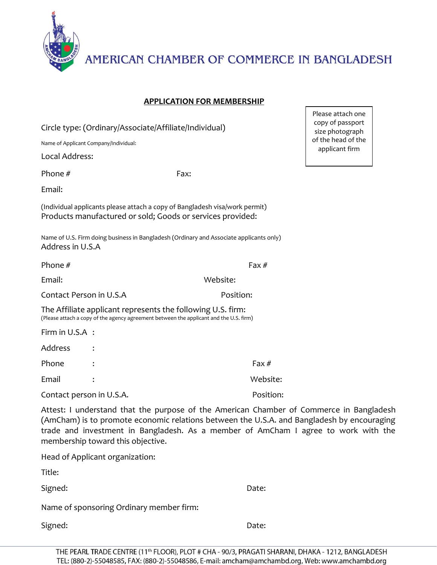

AMERICAN CHAMBER OF COMMERCE IN BANGLADESH

Please attach one

## **APPLICATION FOR MEMBERSHIP**

| Circle type: (Ordinary/Associate/Affiliate/Individual)                                                                                                |                                                                                         | copy of passport<br>size photograph  |
|-------------------------------------------------------------------------------------------------------------------------------------------------------|-----------------------------------------------------------------------------------------|--------------------------------------|
| Name of Applicant Company/Individual:                                                                                                                 |                                                                                         | of the head of the<br>applicant firm |
| Local Address:                                                                                                                                        |                                                                                         |                                      |
| Phone #                                                                                                                                               | Fax:                                                                                    |                                      |
| Email:                                                                                                                                                |                                                                                         |                                      |
| (Individual applicants please attach a copy of Bangladesh visa/work permit)<br>Products manufactured or sold; Goods or services provided:             |                                                                                         |                                      |
| Address in U.S.A                                                                                                                                      | Name of U.S. Firm doing business in Bangladesh (Ordinary and Associate applicants only) |                                      |
| Phone $#$                                                                                                                                             | Fax $#$                                                                                 |                                      |
| Email:                                                                                                                                                | Website:                                                                                |                                      |
| Contact Person in U.S.A                                                                                                                               | Position:                                                                               |                                      |
| The Affiliate applicant represents the following U.S. firm:<br>(Please attach a copy of the agency agreement between the applicant and the U.S. firm) |                                                                                         |                                      |
| Firm in U.S.A :                                                                                                                                       |                                                                                         |                                      |
| Address                                                                                                                                               |                                                                                         |                                      |
| Phone                                                                                                                                                 | Fax $#$                                                                                 |                                      |
| Email                                                                                                                                                 | Website:                                                                                |                                      |
| Contact person in U.S.A.                                                                                                                              | Position:                                                                               |                                      |

Attest: I understand that the purpose of the American Chamber of Commerce in Bangladesh (AmCham) is to promote economic relations between the U.S.A. and Bangladesh by encouraging trade and investment in Bangladesh. As a member of AmCham I agree to work with the membership toward this objective.

Head of Applicant organization:

Title:

Signed: Date:

Name of sponsoring Ordinary member firm:

Signed: Date: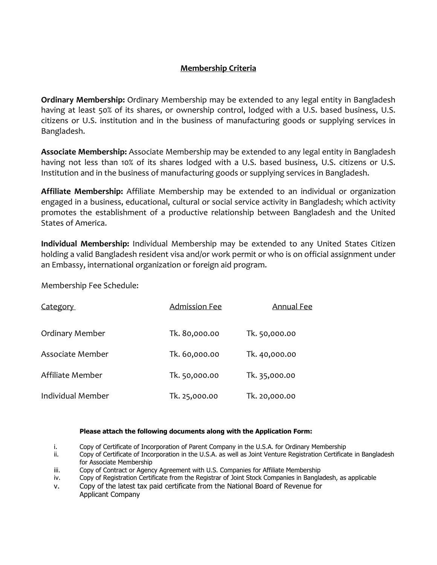## **Membership Criteria**

**Ordinary Membership:** Ordinary Membership may be extended to any legal entity in Bangladesh having at least 50% of its shares, or ownership control, lodged with a U.S. based business, U.S. citizens or U.S. institution and in the business of manufacturing goods or supplying services in Bangladesh.

**Associate Membership:** Associate Membership may be extended to any legal entity in Bangladesh having not less than 10% of its shares lodged with a U.S. based business, U.S. citizens or U.S. Institution and in the business of manufacturing goods or supplying services in Bangladesh.

**Affiliate Membership:** Affiliate Membership may be extended to an individual or organization engaged in a business, educational, cultural or social service activity in Bangladesh; which activity promotes the establishment of a productive relationship between Bangladesh and the United States of America.

**Individual Membership:** Individual Membership may be extended to any United States Citizen holding a valid Bangladesh resident visa and/or work permit or who is on official assignment under an Embassy, international organization or foreign aid program.

Membership Fee Schedule:

| Category               | <b>Admission Fee</b> | Annual Fee    |
|------------------------|----------------------|---------------|
| <b>Ordinary Member</b> | Tk. 80,000.00        | Tk. 50,000.00 |
| Associate Member       | Tk. 60,000.00        | Tk. 40,000.00 |
| Affiliate Member       | Tk. 50,000.00        | Tk. 35,000.00 |
| Individual Member      | Tk. 25,000.00        | Tk. 20,000.00 |

## **Please attach the following documents along with the Application Form:**

- i. Copy of Certificate of Incorporation of Parent Company in the U.S.A. for Ordinary Membership
- ii. Copy of Certificate of Incorporation in the U.S.A. as well as Joint Venture Registration Certificate in Bangladesh for Associate Membership
- iii. Copy of Contract or Agency Agreement with U.S. Companies for Affiliate Membership
- iv. Copy of Registration Certificate from the Registrar of Joint Stock Companies in Bangladesh, as applicable
- v. Copy of the latest tax paid certificate from the National Board of Revenue for Applicant Company